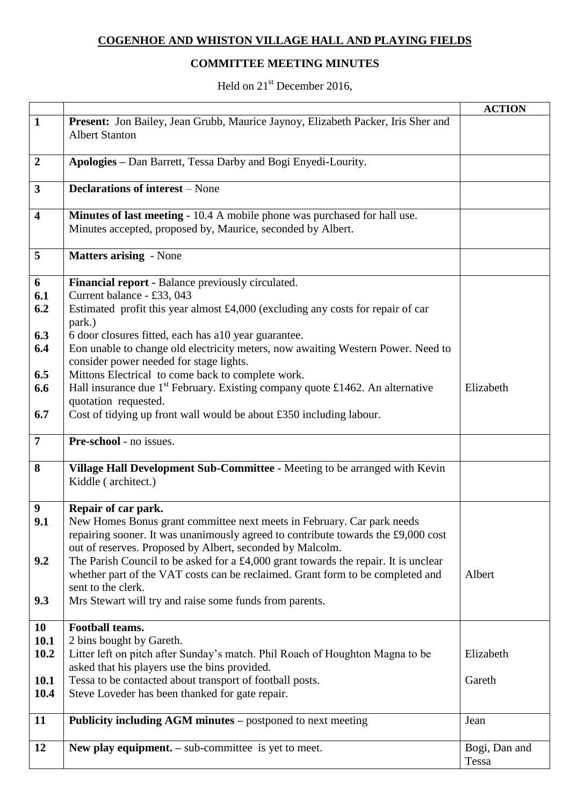## **COGENHOE AND WHISTON VILLAGE HALL AND PLAYING FIELDS**

## **COMMITTEE MEETING MINUTES**

Held on 21<sup>st</sup> December 2016,

|                         |                                                                                                                                                                                                                                                        | <b>ACTION</b>          |
|-------------------------|--------------------------------------------------------------------------------------------------------------------------------------------------------------------------------------------------------------------------------------------------------|------------------------|
| $\mathbf{1}$            | Present: Jon Bailey, Jean Grubb, Maurice Jaynoy, Elizabeth Packer, Iris Sher and<br><b>Albert Stanton</b>                                                                                                                                              |                        |
| $\overline{2}$          | Apologies - Dan Barrett, Tessa Darby and Bogi Enyedi-Lourity.                                                                                                                                                                                          |                        |
| $\mathbf{3}$            | <b>Declarations of interest</b> – None                                                                                                                                                                                                                 |                        |
| $\overline{\mathbf{4}}$ | Minutes of last meeting - 10.4 A mobile phone was purchased for hall use.<br>Minutes accepted, proposed by, Maurice, seconded by Albert.                                                                                                               |                        |
| 5                       | <b>Matters arising - None</b>                                                                                                                                                                                                                          |                        |
| 6<br>6.1<br>6.2         | Financial report - Balance previously circulated.<br>Current balance - £33, 043<br>Estimated profit this year almost $£4,000$ (excluding any costs for repair of car<br>park.)                                                                         |                        |
| 6.3<br>6.4              | 6 door closures fitted, each has a10 year guarantee.<br>Eon unable to change old electricity meters, now awaiting Western Power. Need to<br>consider power needed for stage lights.                                                                    |                        |
| 6.5<br>6.6<br>6.7       | Mittons Electrical to come back to complete work.<br>Hall insurance due $1^{st}$ February. Existing company quote £1462. An alternative<br>quotation requested.<br>Cost of tidying up front wall would be about £350 including labour.                 | Elizabeth              |
| $\overline{7}$          | Pre-school - no issues.                                                                                                                                                                                                                                |                        |
| 8                       | Village Hall Development Sub-Committee - Meeting to be arranged with Kevin<br>Kiddle (architect.)                                                                                                                                                      |                        |
| 9<br>9.1<br>9.2         | Repair of car park.<br>New Homes Bonus grant committee next meets in February. Car park needs<br>repairing sooner. It was unanimously agreed to contribute towards the £9,000 cost<br>out of reserves. Proposed by Albert, seconded by Malcolm.        |                        |
| 9.3                     | The Parish Council to be asked for a £4,000 grant towards the repair. It is unclear<br>whether part of the VAT costs can be reclaimed. Grant form to be completed and<br>sent to the clerk.<br>Mrs Stewart will try and raise some funds from parents. | Albert                 |
|                         |                                                                                                                                                                                                                                                        |                        |
| 10<br>10.1<br>10.2      | Football teams.<br>2 bins bought by Gareth.<br>Litter left on pitch after Sunday's match. Phil Roach of Houghton Magna to be<br>asked that his players use the bins provided.                                                                          | Elizabeth              |
| 10.1<br>10.4            | Tessa to be contacted about transport of football posts.<br>Steve Loveder has been thanked for gate repair.                                                                                                                                            | Gareth                 |
| 11                      | <b>Publicity including AGM minutes – postponed to next meeting</b>                                                                                                                                                                                     | Jean                   |
| 12                      | New play equipment. $-$ sub-committee is yet to meet.                                                                                                                                                                                                  | Bogi, Dan and<br>Tessa |